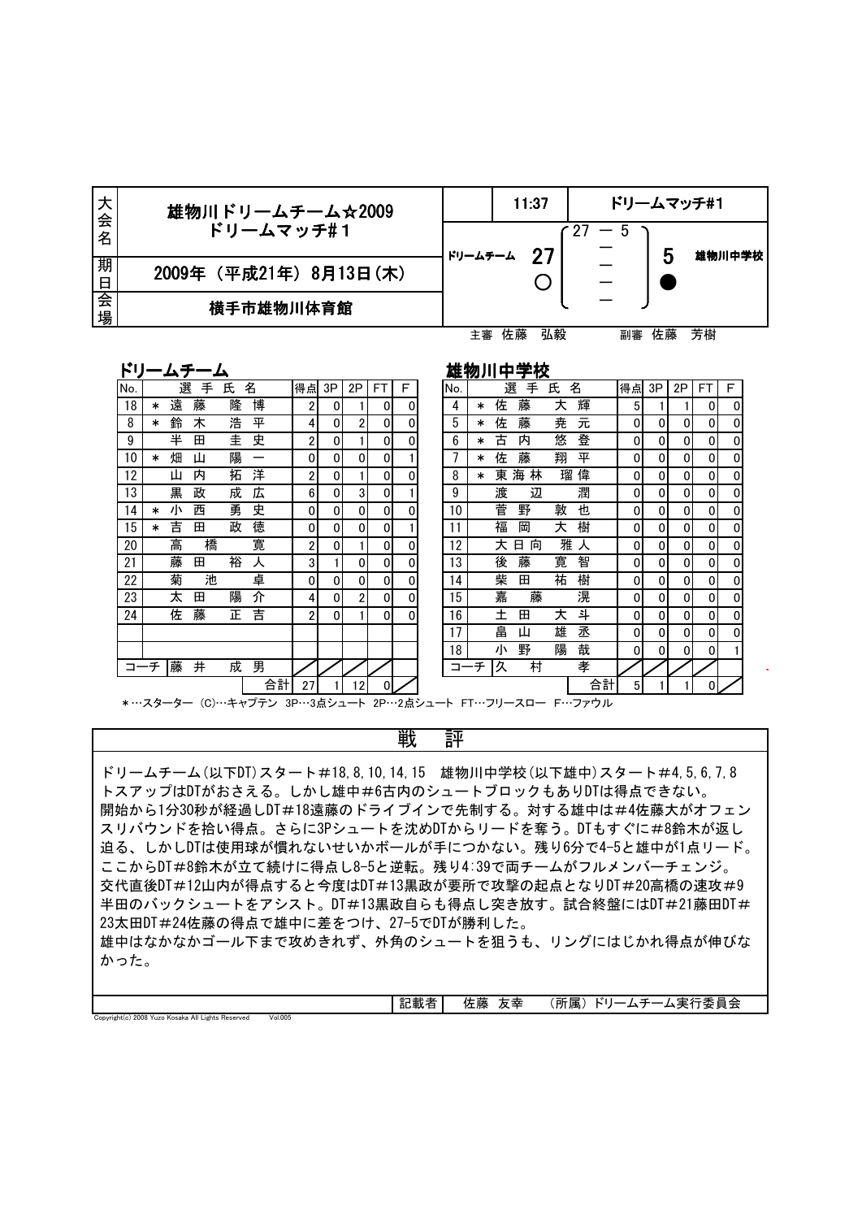| 大会名    | 雄物川ドリームチーム☆2009        |         |    | 11:37 |    |    | ドリームマッチ#1 |
|--------|------------------------|---------|----|-------|----|----|-----------|
|        | ドリームマッチ#1              |         |    |       |    |    |           |
| 期<br>日 | 2009年 (平成21年) 8月13日(木) | ドリームチーム |    | 27    |    | 5  | 雄物川中学校    |
|        |                        |         |    |       |    |    |           |
| 会<br>場 | 横手市雄物川体育館              |         |    |       |    |    |           |
|        |                        |         | 佐藤 | 弘毅    | 副審 | 佐藤 | 芳樹        |

ドリームチーム おろろ おおろん おおおし 雄物川中学校

Copyright(c) 2008 Yuzo Kosaka All Lights Reserved Vol.005

| No. |        | 選 | 手 | 氏 | 名  | 得点             | 3P           | 2P             | <b>FT</b>   | F | No. |        | 選 | 手      | 氏 | 名  | 得点             | 3P | 2P | <b>FT</b> | F |
|-----|--------|---|---|---|----|----------------|--------------|----------------|-------------|---|-----|--------|---|--------|---|----|----------------|----|----|-----------|---|
| 18  | $\ast$ | 遠 | 藤 | 隆 | 博  | 2              | 0            |                | 0           | 0 | 4   | ∗      | 佐 | 藤      | 大 | 輝  | 5              |    |    | 0         | 0 |
| 8   | *      | 鈴 | 木 | 浩 | 平  | 4              | $\Omega$     | 2              | 0           | 0 | 5   | $\ast$ | 佐 | 藤      | 尭 | 元  | 0              | 0  | 0  | 0         |   |
| 9   |        | 半 | 田 | 圭 | 史  | 2              | 0            |                | 0           | 0 | 6   | $\ast$ | 古 | 内      | 悠 | 登  | 0              | 0  | 0  | 0         |   |
| 10  | *      | 畑 | Щ | 陽 |    | 0              | $\mathbf 0$  | 0              | 0           |   |     | $\ast$ | 佐 | 藤      | 翔 | 平  | 0              | 0  | 0  | 0         | 0 |
| 12  |        | ш | 内 | 拓 | 洋  | 2              | 0            |                | 0           | 0 | 8   | $\ast$ | 東 | 林<br>海 | 瑠 | 偉  | 0              | 0  | 0  | 0         |   |
| 13  |        | 黒 | 政 | 成 | 広  | 6              | 0            | 3              | 0           |   | 9   |        | 渡 | 辺      |   | 潤  | 0              | 0  | 0  | 0         | 0 |
| 14  | *      | 小 | 西 | 勇 | 史  | 0              | $\mathbf{0}$ | 0              | 0           | 0 | 10  |        | 菅 | 野      | 敦 | 也  | 0              | 0  | 0  | 0         |   |
| 15  | *      | 吉 | 田 | 政 | 徳  | $\mathbf{0}$   | $\mathbf{0}$ | $\Omega$       | 0           |   | 11  |        | 福 | 岡      | 大 | 樹  | 0              | 0  | 0  | 0         | 0 |
| 20  |        | 高 | 橋 |   | 寛  | 2              | 0            |                | 0           | 0 | 12  |        | 大 | 向<br>日 | 雅 | ᄉ  | 0              | 0  | 0  | 0         |   |
| 21  |        | 藤 | 田 | 裕 | ᄉ  | 3              |              | 0              | 0           | 0 | 13  |        | 後 | 藤      | 寛 | 智  | 0              | 0  | 0  | 0         |   |
| 22  |        | 菊 | 池 |   | 卓  | 0              | 0            | $\overline{0}$ | $\mathbf 0$ | 0 | 14  |        | 柴 | 田      | 祐 | 樹  | 0              | 0  | 0  | 0         | 0 |
| 23  |        | 太 | 田 | 陽 | 介  | 4              | 0            | $\overline{c}$ | 0           | 0 | 15  |        | 嘉 | 藤      |   | 滉  | 0              | 0  | 0  | 0         |   |
| 24  |        | 佐 | 藤 | 正 | 吉  | $\overline{2}$ | 0            |                | 0           | 0 | 16  |        | 土 | 田      | 大 | 斗  | 0              | 0  | 0  | 0         | 0 |
|     |        |   |   |   |    |                |              |                |             |   | 17  |        | 畠 | Ш      | 雄 | 丞  | 0              | 0  | 0  | 0         |   |
|     |        |   |   |   |    |                |              |                |             |   | 18  |        | 小 | 野      | 陽 | 哉  | 0              | 0  | 0  | 0         |   |
|     | コーチ    | 藤 | 井 | 成 | 男  |                |              |                |             |   | ⊐   | チ      | 久 | 村      |   | 孝  |                |    |    |           |   |
|     |        |   |   |   | 合計 | 27             |              | 12             | $\Omega$    |   |     |        |   |        |   | 合計 | 5 <sup>1</sup> |    |    | $\Omega$  |   |

| ١o.             |     | 選 | 手 | 氏 | 名  | 得点             | 3P             | 2P             | FT             | F | No. |        | 選 | 手      | 氏 | 名  | 得点 | 3P | 2P | <b>FT</b> | F |
|-----------------|-----|---|---|---|----|----------------|----------------|----------------|----------------|---|-----|--------|---|--------|---|----|----|----|----|-----------|---|
| 18              | ∗   | 遠 | 藤 | 隆 | 博  | 2              | $\overline{0}$ |                | 0              | 0 | 4   | $\ast$ | 佐 | 藤      | 大 | 輝  | 5  |    |    | 0         | 0 |
| 8               | ∗   | 鈴 | 木 | 浩 | 平  | 4              | 0              | 2              | 0              | 0 | 5   | $\ast$ | 佐 | 藤      | 尭 | 元  | 0  | 0  | 0  | 0         | 0 |
| 9               |     | 半 | 田 | 圭 | 史  | 2              | 0              |                | 0              | 0 | 6   | $\ast$ | 古 | 内      | 悠 | 登  | 0  | 0  | 0  | 0         | 0 |
| 10              | ∗   | 畑 | Щ | 陽 | -  | 0              | 0              | 0              | 0              |   |     | ∗      | 佐 | 藤      | 翔 | 平  | 0  | 0  | 0  | 0         | 0 |
| 12              |     | ш | 内 | 拓 | 洋  | 2              | 0              |                | 0              | 0 | 8   | $\ast$ | 東 | 海<br>林 | 瑠 | 偉  | 0  | 0  | 0  | 0         | 0 |
| 13              |     | 黒 | 政 | 成 | 広  | 6              | $\overline{0}$ | 3              | 0              |   | 9   |        | 渡 | 辺      |   | 潤  | 0  | 0  | 0  | 0         | 0 |
| 14              | ∗   | 小 | 西 | 勇 | 史  | $\overline{0}$ | $\overline{0}$ | $\overline{0}$ | $\overline{0}$ | 0 | 10  |        | 菅 | 野      | 敦 | 也  | 0  | 0  | 0  | 0         | 0 |
| 15              | ∗   | 吉 | 田 | 政 | 徳  | $\overline{0}$ | 0              | 0              | 0              |   | 11  |        | 福 | 岡      | 大 | 樹  | 0  | 0  | 0  | 0         | 0 |
| 20              |     | 高 | 橋 |   | 寛  | 2              | 0              |                | $\overline{0}$ | 0 | 12  |        | 大 | 日<br>向 | 雅 | ᄉ  | 0  | 0  | 0  | 0         | 0 |
| $\overline{21}$ |     | 藤 | 田 | 裕 | 人  | 3              |                | 0              | $\overline{0}$ | 0 | 13  |        | 後 | 藤      | 寛 | 智  | 0  | 0  | 0  | 0         | 0 |
| 22              |     | 菊 | 池 |   | 卓  | $\overline{0}$ | 0              | $\overline{0}$ | 0              | 0 | 14  |        | 柴 | 田      | 祐 | 樹  | 0  | 0  | 0  | 0         | 0 |
| 23              |     | 太 | 田 | 陽 | 介  | 4              | $\overline{0}$ | 2              | $\overline{0}$ | 0 | 15  |        | 嘉 | 藤      |   | 滉  | 0  | 0  | 0  | 0         | 0 |
| 24              |     | 佐 | 藤 | 正 | 吉  | 2              | $\overline{0}$ |                | $\overline{0}$ | 0 | 16  |        | 土 | 田      | 大 | 촤  | 0  | 0  | 0  | 0         | 0 |
|                 |     |   |   |   |    |                |                |                |                |   | 17  |        | 畠 | Щ      | 雄 | 丞  | 0  | 0  | 0  | 0         | 0 |
|                 |     |   |   |   |    |                |                |                |                |   | 18  |        | 小 | 野      | 陽 | 哉  | 0  | 0  | 0  | 0         |   |
|                 | コーチ | 藤 | 井 | 成 | 男  |                |                |                |                |   | コーチ |        | 久 | 村      |   | 孝  |    |    |    |           |   |
|                 |     |   |   |   | 合計 | 27             |                | 12             | $\mathbf{0}$   |   |     |        |   |        |   | 合計 | 5  |    |    | 0         |   |

\*…スターター (C)…キャプテン 3P…3点シュート 2P…2点シュート FT…フリースロー F…ファウル

戦 評

ドリームチーム (以下DT) スタート#18,8,10,14,15 雄物川中学校 (以下雄中) スタート#4,5,6,7,8 トスアップはDTがおさえる。しかし雄中#6古内のシュートブロックもありDTは得点できない。 開始から1分30秒が経過しDT#18遠藤のドライブインで先制する。対する雄中は#4佐藤大がオフェン スリバウンドを拾い得点。さらに3Pシュートを沈めDTからリードを奪う。DTもすぐに#8鈴木が返し 迫る、しかしDTは使用球が慣れないせいかボールが手につかない。残り6分で4-5と雄中が1点リード。 ここからDT#8鈴木が立て続けに得点し8-5と逆転。残り4:39で両チームがフルメンバーチェンジ。 交代直後DT#12山内が得点すると今度はDT#13黒政が要所で攻撃の起点となりDT#20高橋の速攻#9 半田のバックシュートをアシスト。DT#13黒政自らも得点し突き放す。試合終盤にはDT#21藤田DT# ドリームチーム(以下DT)スタート#18,8,10,14,15 雄物川中学校(トスアップはDTがおさえる。しかし雄中#6古内のシュートブロック<br>開始から1分30秒が経過しDT#18遠藤のドライブインで先制する。<br>スリバウンドを拾い得点。さらに3Pシュートを沈めDTからリードを<br>スリバウンドを拾い得点。さらに3Pシュートを沈めDTからリードを<br>迫る、しかしDTは使用球が慣れないせいかボールが手につかない。<br>ここからDT#8鈴木が立て続けに 雄中はなかなかゴール下まで攻めきれず、外角のシュートを狙うも、リングにはじかれ得点が伸びな かった。

| $\sim$<br>-<br>- 4517<br>--<br>c<br>山山牧<br>-<br>$\overline{\phantom{a}}$ | -<br>- 藤<br>__<br>ᆓ<br>15<br>ᄶ<br>__ | $\mathbf{A}$<br>пh<br>匡<br>一本<br>ī<br>- |
|--------------------------------------------------------------------------|--------------------------------------|-----------------------------------------|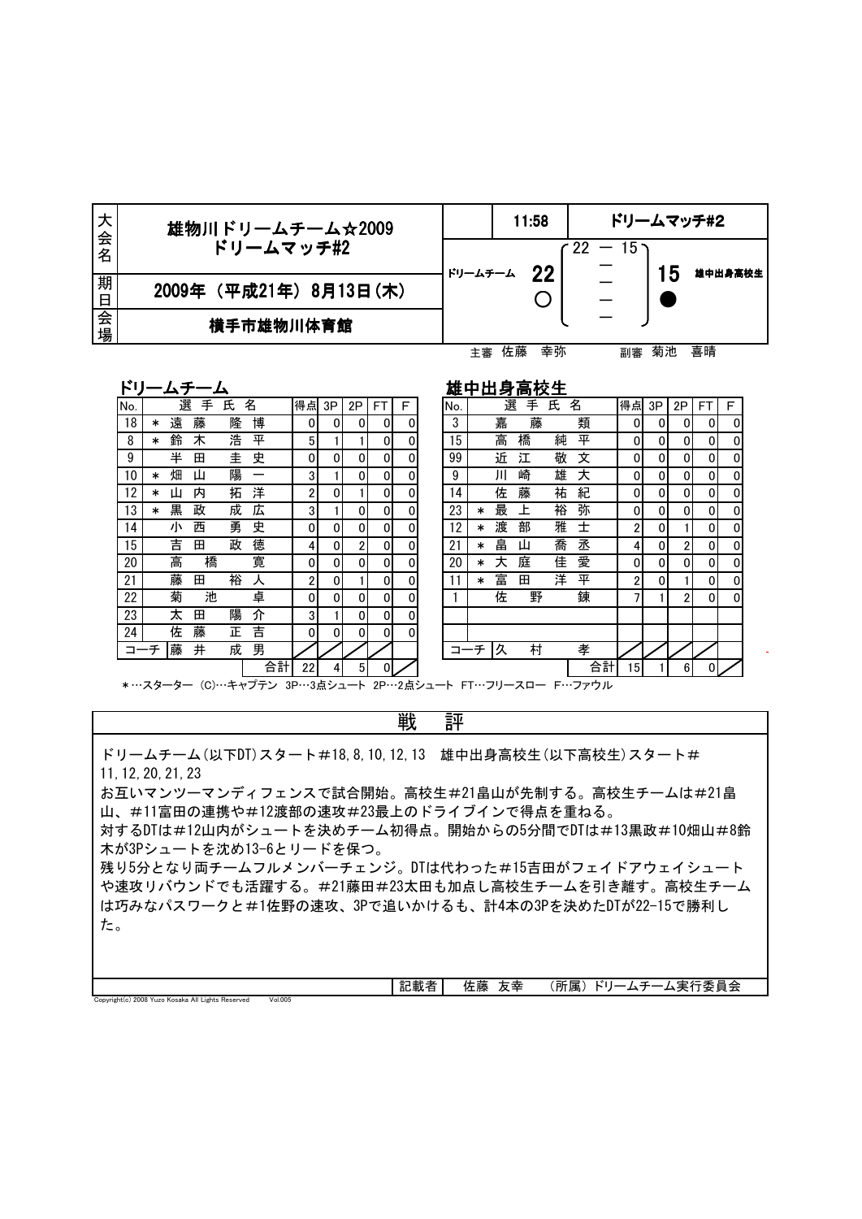| 大会名    | 雄物川ドリームチーム☆2009         |         |    | 11:58 |                              |    |    | ドリームマッチ#2 |
|--------|-------------------------|---------|----|-------|------------------------------|----|----|-----------|
|        | ドリームマッチ#2               | ドリームチーム |    | 22    | $\sim 22\ -\ 15\ \mathrm{m}$ |    | 5  | 雄中出身高校生   |
| 期<br>日 | 2009年 (平成21年) 8月13日 (木) |         |    |       |                              |    |    |           |
| 会<br>場 | 横手市雄物川体育館               |         |    |       |                              |    |    |           |
|        |                         |         | 佐藤 | 幸弥    |                              | 副審 | 菊池 | 喜晴        |

| П<br>v. |  |  |
|---------|--|--|
|         |  |  |

雄中出身高校生

| r v |        | ムフ |   | ▵ |    |    |          |                |          |          |     |        |    | 雄屮山牙向仪土 |   |    |                 |    |    |    |   |
|-----|--------|----|---|---|----|----|----------|----------------|----------|----------|-----|--------|----|---------|---|----|-----------------|----|----|----|---|
| No. |        | 選  | 手 | 氏 | 名  | 得点 | 3P       | 2P             | FT       | F        | No. |        | 選  | 手       | 氏 | 名  | 得点              | 3P | 2P | FT | F |
| 18  | $\ast$ | 遠  | 藤 | 隆 | 博  | 0  | 0        | 0              | 0        | 0        | 3   |        | 嘉  | 藤       |   | 類  | 0               | 0  | 0  | 0  | 0 |
| 8   | *      | 鈴  | 木 | 浩 | 平  | 5  |          |                | $\Omega$ | 0        | 15  |        | 高  | 橋       | 純 | 平  | 0               | 0  | 0  | 0  | 0 |
| 9   |        | 半  | 田 | 圭 | 史  | 0  | $\Omega$ | $\Omega$       | $\Omega$ | $\Omega$ | 99  |        | 近  | 江       | 敬 | 文  | 0               | 0  | 0  | 0  | 0 |
| 10  | *      | 畑  | Ш | 陽 | —  | 3  |          | $\Omega$       | $\Omega$ |          | 9   |        | Ш  | 崎       | 雄 | 大  | 0               | 0  | 0  | 0  | 0 |
| 12  | *      | Щ  | 内 | 拓 | 洋  | 2  | 0        |                | $\Omega$ | 0        | 14  |        | 佐  | 藤       | 祐 | 紀  | 0               | 0  | 0  | 0  | 0 |
| 13  | *      | 黒  | 政 | 成 | 広  | 3  |          | $\Omega$       | $\Omega$ | 0        | 23  | $\ast$ | 最  | 上       | 裕 | 弥  | 0               | 0  | 0  | 0  | 0 |
| 14  |        | 小  | 西 | 勇 | 史  | 0  | 0        | $\Omega$       | $\Omega$ |          | 12  | ∗      | 渡  | 部       | 雅 | 士  | 2               | 0  |    | 0  | 0 |
| 15  |        | 吉  | 田 | 政 | 徳  | 4  | 0        | $\overline{2}$ | $\Omega$ |          | 21  | $\ast$ | 畠  | Щ       | 喬 | 丞  | 4               | 0  | 2  | 0  | 0 |
| 20  |        | 高  | 橋 |   | 寛  | 0  | 0        | 0              | $\Omega$ | 0        | 20  | $\ast$ | 大  | 庭       | 佳 | 愛  | 0               | 0  | 0  | 0  | 0 |
| 21  |        | 藤  | 田 | 裕 | ᄉ  | 2  | 0        |                | 0        | 0        | 11  | $\ast$ | 富  | 田       | 洋 | 平  | 2               | 0  |    | 0  | 0 |
| 22  |        | 菊  | 池 |   | 卓  | 0  | $\Omega$ | $\Omega$       | $\Omega$ | 0        |     |        | 佐  | 野       |   | 錬  | 7               |    | 2  | 0  | 0 |
| 23  |        | 太  | 田 | 陽 | 介  | 3  |          | 0              | 0        | 0        |     |        |    |         |   |    |                 |    |    |    |   |
| 24  |        | 佐  | 藤 | 正 | 吉  | 0  | 0        | $\overline{0}$ | 0        | $\Omega$ |     |        |    |         |   |    |                 |    |    |    |   |
| コーチ |        | 藤  | 井 | 成 | 男  |    |          |                |          |          | コーチ |        | 一久 | 村       |   | 孝  |                 |    |    |    |   |
|     |        |    |   |   | 合計 | 22 | 4        | 5 <sup>5</sup> | 0        |          |     |        |    |         |   | 合計 | 15 <sup>1</sup> |    | 6  |    |   |

| 点           | 3P | 2P | FT | F | No. |        | 選 | 手 | 氏 | 名  | 得点 | 3P | 2P             | <b>FT</b> | F |
|-------------|----|----|----|---|-----|--------|---|---|---|----|----|----|----------------|-----------|---|
| 0           | 0  | 0  | 0  | 0 | 3   |        | 嘉 | 藤 |   | 類  | 0  | 0  | 0              | 0         | 0 |
| 5           |    |    | 0  | 0 | 15  |        | 高 | 橋 | 純 | 平  | 0  | 0  | 0              | 0         | 0 |
| 0           | 0  | 0  | 0  | 0 | 99  |        | 近 | 江 | 敬 | 文  | 0  | 0  | 0              | 0         | 0 |
| 3           |    | 0  | 0  | 0 | 9   |        | Ш | 崎 | 雄 | 天  | 0  | 0  | 0              | 0         | 0 |
| 2           | 0  |    | 0  | 0 | 14  |        | 佐 | 藤 | 祐 | 紀  | 0  | 0  | 0              | 0         | 0 |
| 3           |    | 0  | 0  | 0 | 23  | $\ast$ | 最 | 上 | 裕 | 弥  | 0  | 0  | 0              | 0         | 0 |
| 0           | 0  | 0  | 0  | 0 | 12  | $\ast$ | 渡 | 部 | 雅 | 士  | 2  | 0  | 1              | 0         | 0 |
| 4           | 0  | 2  | 0  | 0 | 21  | $\ast$ | 畠 | Ш | 喬 | 丞  | 4  | 0  | $\overline{2}$ | 0         | 0 |
| 0           | 0  | 0  | 0  | 0 | 20  | $\ast$ | 大 | 庭 | 佳 | 愛  | 0  | 0  | 0              | 0         | 0 |
| $\mathbf 2$ | 0  |    | 0  | 0 | 11  | $\ast$ | 富 | 田 | 洋 | 平  | 2  | 0  |                | 0         | 0 |
| 0           | 0  | 0  | 0  | 0 |     |        | 佐 | 野 |   | 錬  | 7  | 1  | 2              | 0         | 0 |
| 3           |    | 0  | 0  | 0 |     |        |   |   |   |    |    |    |                |           |   |
| 0           | 0  | 0  | 0  | 0 |     |        |   |   |   |    |    |    |                |           |   |
|             |    |    |    |   |     | -チ     | 久 | 村 |   | 孝  |    |    |                |           |   |
| 22          | 4  | 5  | 0  |   |     |        |   |   |   | 合計 | 15 |    | 6              |           |   |

\*…スターター (C)…キャプテン 3P…3点シュート 2P…2点シュート FT…フリースロー F…ファウル

戦 評

ドリームチーム (以下DT) スタート#18,8,10,12,13 雄中出身高校生 (以下高校生) スタート# 11,12,20,21,23

お互いマンツーマンディフェンスで試合開始。高校生#21畠山が先制する。高校生チームは#21畠 山、#11富田の連携や#12渡部の速攻#23最上のドライブインで得点を重ねる。

対するDTは#12山内がシュートを決めチーム初得点。開始からの5分間でDTは#13黒政#10畑山#8鈴 木が3Pシュートを沈め13-6とリードを保つ。

残り5分となり両チームフルメンバーチェンジ。DTは代わった#15吉田がフェイドアウェイシュート や速攻リバウンドでも活躍する。#21藤田#23太田も加点し高校生チームを引き離す。高校生チーム は巧みなパスワークと#1佐野の速攻、3Pで追いかけるも、計4本の3Pを決めたDTが22-15で勝利し た。

|                                                                                            |         | $= - +$<br>記載<br>-<br>. . | . .<br>- 89<br>ᡅ<br>r 1. ma | ᄶ | --<br>. __<br>. ۵.<br>$\overline{\phantom{0}}$<br>.所<br>$\sim$<br>–<br>'≀ ⊄<br>–<br>$T^{\rm max}$<br>-<br>. . |
|--------------------------------------------------------------------------------------------|---------|---------------------------|-----------------------------|---|---------------------------------------------------------------------------------------------------------------|
| Copyright(c) 2008 Yu<br>.<br>$\overline{\phantom{a}}$<br>3 Yuzo Kosaka All Lights Reserved | Vol.005 |                           |                             |   |                                                                                                               |